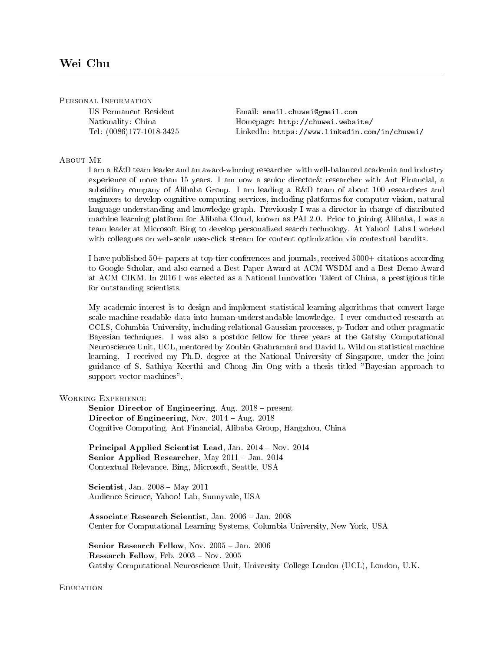Personal Information

US Permanent Resident Nationality: China Tel: (0086)177-1018-3425 Email: email.chuwei@gmail.com Homepage: http://chuwei.website/ LinkedIn: https://www.linkedin.com/in/chuwei/

## About Me

I am a R&D team leader and an award-winning researcher with well-balanced academia and industry experience of more than 15 years. I am now a senior director& researcher with Ant Financial, a subsidiary company of Alibaba Group. I am leading a R&D team of about 100 researchers and engineers to develop cognitive computing services, including platforms for computer vision, natural language understanding and knowledge graph. Previously I was a director in charge of distributed machine learning platform for Alibaba Cloud, known as PAI 2.0. Prior to joining Alibaba, I was a team leader at Microsoft Bing to develop personalized search technology. At Yahoo! Labs I worked with colleagues on web-scale user-click stream for content optimization via contextual bandits.

I have published 50+ papers at top-tier conferences and journals, received 5000+ citations according to Google Scholar, and also earned a Best Paper Award at ACM WSDM and a Best Demo Award at ACM CIKM. In 2016 I was elected as a National Innovation Talent of China, a prestigious title for outstanding scientists.

My academic interest is to design and implement statistical learning algorithms that convert large scale machine-readable data into human-understandable knowledge. I ever conducted research at CCLS, Columbia University, including relational Gaussian processes, p-Tucker and other pragmatic Bayesian techniques. I was also a postdoc fellow for three years at the Gatsby Computational Neuroscience Unit, UCL, mentored by Zoubin Ghahramani and David L. Wild on statistical machine learning. I received my Ph.D. degree at the National University of Singapore, under the joint guidance of S. Sathiya Keerthi and Chong Jin Ong with a thesis titled "Bayesian approach to support vector machines".

## WORKING EXPERIENCE

Senior Director of Engineering, Aug.  $2018$  – present Director of Engineering, Nov.  $2014 - Aug. 2018$ Cognitive Computing, Ant Financial, Alibaba Group, Hangzhou, China

Principal Applied Scientist Lead, Jan. 2014 - Nov. 2014 Senior Applied Researcher, May  $2011 -$ Jan.  $2014$ Contextual Relevance, Bing, Microsoft, Seattle, USA

Scientist, Jan.  $2008 - May 2011$ Audience Science, Yahoo! Lab, Sunnyvale, USA

Associate Research Scientist, Jan. 2006 - Jan. 2008 Center for Computational Learning Systems, Columbia University, New York, USA

Senior Research Fellow, Nov. 2005 - Jan. 2006 Research Fellow, Feb.  $2003 - Nov. 2005$ Gatsby Computational Neuroscience Unit, University College London (UCL), London, U.K.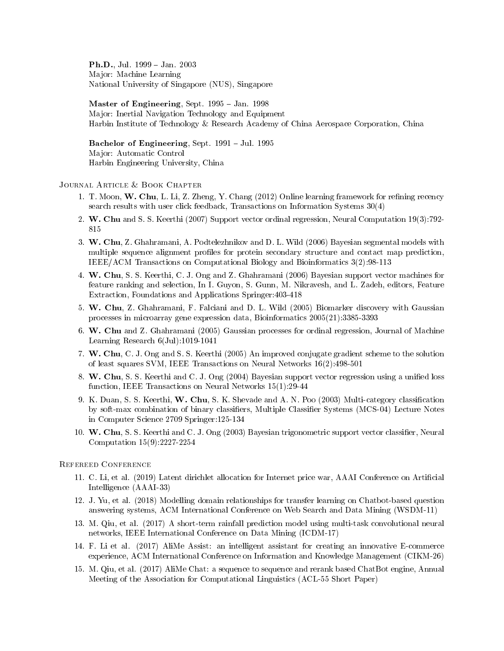**Ph.D.**, Jul.  $1999 - Jan. 2003$ Major: Machine Learning National University of Singapore (NUS), Singapore

Master of Engineering, Sept.  $1995 - Jan.$  1998 Major: Inertial Navigation Technology and Equipment Harbin Institute of Technology & Research Academy of China Aerospace Corporation, China

Bachelor of Engineering, Sept.  $1991 -$ Jul.  $1995$ Major: Automatic Control Harbin Engineering University, China

# JOURNAL ARTICLE & BOOK CHAPTER

- 1. T. Moon, W. Chu, L. Li, Z. Zheng, Y. Chang (2012) Online learning framework for refining recency search results with user click feedback, Transactions on Information Systems 30(4)
- 2. W. Chu and S. S. Keerthi (2007) Support vector ordinal regression, Neural Computation 19(3):792- 815
- 3. W. Chu, Z. Ghahramani, A. Podtelezhnikov and D. L. Wild (2006) Bayesian segmental models with multiple sequence alignment proles for protein secondary structure and contact map prediction, IEEE/ACM Transactions on Computational Biology and Bioinformatics 3(2):98-113
- 4. W. Chu, S. S. Keerthi, C. J. Ong and Z. Ghahramani (2006) Bayesian support vector machines for feature ranking and selection, In I. Guyon, S. Gunn, M. Nikravesh, and L. Zadeh, editors, Feature Extraction, Foundations and Applications Springer:403-418
- 5. W. Chu, Z. Ghahramani, F. Falciani and D. L. Wild (2005) Biomarker discovery with Gaussian processes in microarray gene expression data, Bioinformatics 2005(21):3385-3393
- 6. W. Chu and Z. Ghahramani (2005) Gaussian processes for ordinal regression, Journal of Machine Learning Research 6(Jul):1019-1041
- 7. W. Chu, C. J. Ong and S. S. Keerthi (2005) An improved conjugate gradient scheme to the solution of least squares SVM, IEEE Transactions on Neural Networks 16(2):498-501
- 8. W. Chu, S. S. Keerthi and C. J. Ong (2004) Bayesian support vector regression using a unified loss function, IEEE Transactions on Neural Networks 15(1):29-44
- 9. K. Duan, S. S. Keerthi, W. Chu, S. K. Shevade and A. N. Poo (2003) Multi-category classification by soft-max combination of binary classiers, Multiple Classier Systems (MCS-04) Lecture Notes in Computer Science 2709 Springer:125-134
- 10. W. Chu, S. S. Keerthi and C. J. Ong (2003) Bayesian trigonometric support vector classifier, Neural Computation 15(9):2227-2254

#### Refereed Conference

- 11. C. Li, et al. (2019) Latent dirichlet allocation for Internet price war, AAAI Conference on Articial Intelligence (AAAI-33)
- 12. J. Yu, et al. (2018) Modelling domain relationships for transfer learning on Chatbot-based question answering systems, ACM International Conference on Web Search and Data Mining (WSDM-11)
- 13. M. Qiu, et al. (2017) A short-term rainfall prediction model using multi-task convolutional neural networks, IEEE International Conference on Data Mining (ICDM-17)
- 14. F. Li et al. (2017) AliMe Assist: an intelligent assistant for creating an innovative E-commerce experience, ACM International Conference on Information and Knowledge Management (CIKM-26)
- 15. M. Qiu, et al. (2017) AliMe Chat: a sequence to sequence and rerank based ChatBot engine, Annual Meeting of the Association for Computational Linguistics (ACL-55 Short Paper)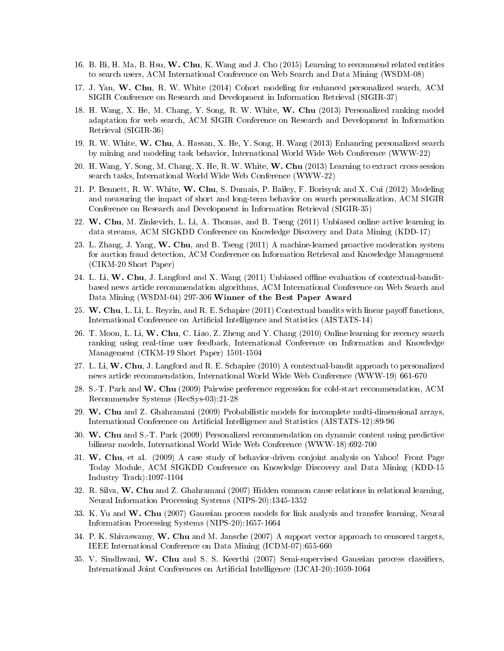- 16. B. Bi, H. Ma, B. Hsu, W. Chu, K. Wang and J. Cho (2015) Learning to recommend related entities to search users, ACM International Conference on Web Search and Data Mining (WSDM-08)
- 17. J. Yan, W. Chu, R. W. White (2014) Cohort modeling for enhanced personalized search, ACM SIGIR Conference on Research and Development in Information Retrieval (SIGIR-37)
- 18. H. Wang, X. He, M. Chang, Y. Song, R. W. White, W. Chu (2013) Personalized ranking model adaptation for web search, ACM SIGIR Conference on Research and Development in Information Retrieval (SIGIR-36)
- 19. R. W. White, W. Chu, A. Hassan, X. He, Y. Song, H. Wang (2013) Enhancing personalized search by mining and modeling task behavior, International World Wide Web Conference (WWW-22)
- 20. H. Wang, Y. Song, M. Chang, X. He, R. W. White, W. Chu (2013) Learning to extract cross-session search tasks, International World Wide Web Conference (WWW-22)
- 21. P. Bennett, R. W. White, W. Chu, S. Dumais, P. Bailey, F. Borisyuk and X. Cui (2012) Modeling and measuring the impact of short and long-term behavior on search personalization, ACM SIGIR Conference on Research and Development in Information Retrieval (SIGIR-35)
- 22. W. Chu, M. Zinkevich, L. Li, A. Thomas, and B. Tseng (2011) Unbiased online active learning in data streams, ACM SIGKDD Conference on Knowledge Discovery and Data Mining (KDD-17)
- 23. L. Zhang, J. Yang, W. Chu, and B. Tseng (2011) A machine-learned proactive moderation system for auction fraud detection, ACM Conference on Information Retrieval and Knowledge Management (CIKM-20 Short Paper)
- 24. L. Li, W. Chu, J. Langford and X. Wang (2011) Unbiased offline evaluation of contextual-banditbased news article recommendation algorithms, ACM International Conference on Web Search and Data Mining (WSDM-04) 297-306 Winner of the Best Paper Award
- 25. W. Chu, L. Li, L. Reyzin, and R. E. Schapire  $(2011)$  Contextual bandits with linear payoff functions, International Conference on Articial Intelligence and Statistics (AISTATS-14)
- 26. T. Moon, L. Li, W. Chu, C. Liao, Z. Zheng and Y. Chang (2010) Online learning for recency search ranking using real-time user feedback, International Conference on Information and Knowledge Management (CIKM-19 Short Paper) 1501-1504
- 27. L. Li, W. Chu, J. Langford and R. E. Schapire (2010) A contextual-bandit approach to personalized news article recommendation, International World Wide Web Conference (WWW-19) 661-670
- 28. S.-T. Park and W. Chu (2009) Pairwise preference regression for cold-start recommendation, ACM Recommender Systems (RecSys-03):21-28
- 29. W. Chu and Z. Ghahramani (2009) Probabilistic models for incomplete multi-dimensional arrays, International Conference on Artificial Intelligence and Statistics (AISTATS-12):89-96
- 30. W. Chu and S.-T. Park (2009) Personalized recommendation on dynamic content using predictive bilinear models, International World Wide Web Conference (WWW-18):692-700
- 31. W. Chu, et al. (2009) A case study of behavior-driven conjoint analysis on Yahoo! Front Page Today Module, ACM SIGKDD Conference on Knowledge Discovery and Data Mining (KDD-15 Industry Track):1097-1104
- 32. R. Silva, W. Chu and Z. Ghahramani (2007) Hidden common cause relations in relational learning, Neural Information Processing Systems (NIPS-20):1345-1352
- 33. K. Yu and W. Chu (2007) Gaussian process models for link analysis and transfer learning, Neural Information Processing Systems (NIPS-20):1657-1664
- 34. P. K. Shivaswamy, W. Chu and M. Jansche (2007) A support vector approach to censored targets, IEEE International Conference on Data Mining (ICDM-07):655-660
- 35. V. Sindhwani, W. Chu and S. S. Keerthi (2007) Semi-supervised Gaussian process classifiers, International Joint Conferences on Articial Intelligence (IJCAI-20):1059-1064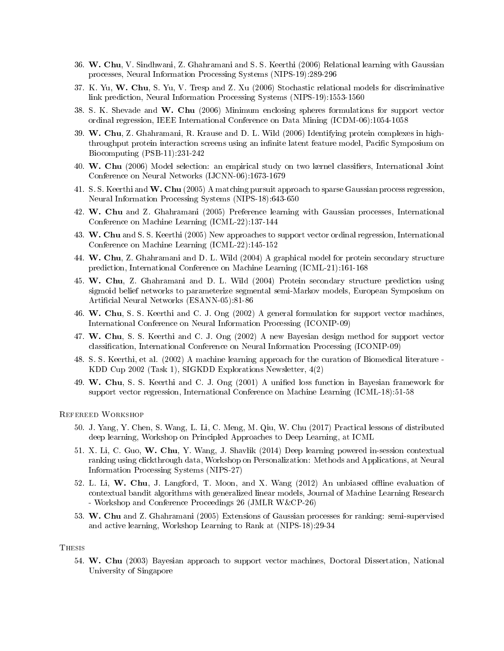- 36. W. Chu, V. Sindhwani, Z. Ghahramani and S. S. Keerthi (2006) Relational learning with Gaussian processes, Neural Information Processing Systems (NIPS-19):289-296
- 37. K. Yu, W. Chu, S. Yu, V. Tresp and Z. Xu (2006) Stochastic relational models for discriminative link prediction, Neural Information Processing Systems (NIPS-19):1553-1560
- 38. S. K. Shevade and W. Chu (2006) Minimum enclosing spheres formulations for support vector ordinal regression, IEEE International Conference on Data Mining (ICDM-06):1054-1058
- 39. W. Chu, Z. Ghahramani, R. Krause and D. L. Wild (2006) Identifying protein complexes in highthroughput protein interaction screens using an infinite latent feature model, Pacific Symposium on Biocomputing (PSB-11):231-242
- 40. W. Chu (2006) Model selection: an empirical study on two kernel classifiers, International Joint Conference on Neural Networks (IJCNN-06):1673-1679
- 41. S. S. Keerthi and W. Chu (2005) A matching pursuit approach to sparse Gaussian process regression, Neural Information Processing Systems (NIPS-18):643-650
- 42. W. Chu and Z. Ghahramani (2005) Preference learning with Gaussian processes, International Conference on Machine Learning (ICML-22):137-144
- 43. W. Chu and S. S. Keerthi (2005) New approaches to support vector ordinal regression, International Conference on Machine Learning (ICML-22):145-152
- 44. W. Chu, Z. Ghahramani and D. L. Wild (2004) A graphical model for protein secondary structure prediction, International Conference on Machine Learning (ICML-21):161-168
- 45. W. Chu, Z. Ghahramani and D. L. Wild (2004) Protein secondary structure prediction using sigmoid belief networks to parameterize segmental semi-Markov models, European Symposium on Articial Neural Networks (ESANN-05):81-86
- 46. W. Chu, S. S. Keerthi and C. J. Ong (2002) A general formulation for support vector machines, International Conference on Neural Information Processing (ICONIP-09)
- 47. W. Chu, S. S. Keerthi and C. J. Ong (2002) A new Bayesian design method for support vector classication, International Conference on Neural Information Processing (ICONIP-09)
- 48. S. S. Keerthi, et al. (2002) A machine learning approach for the curation of Biomedical literature KDD Cup 2002 (Task 1), SIGKDD Explorations Newsletter, 4(2)
- 49. W. Chu, S. S. Keerthi and C. J. Ong (2001) A unified loss function in Bayesian framework for support vector regression, International Conference on Machine Learning (ICML-18):51-58

Refereed Workshop

- 50. J. Yang, Y. Chen, S. Wang, L. Li, C. Meng, M. Qiu, W. Chu (2017) Practical lessons of distributed deep learning, Workshop on Principled Approaches to Deep Learning, at ICML
- 51. X. Li, C. Guo, W. Chu, Y. Wang, J. Shavlik (2014) Deep learning powered in-session contextual ranking using clickthrough data, Workshop on Personalization: Methods and Applications, at Neural Information Processing Systems (NIPS-27)
- 52. L. Li, W. Chu, J. Langford, T. Moon, and X. Wang (2012) An unbiased offline evaluation of contextual bandit algorithms with generalized linear models, Journal of Machine Learning Research - Workshop and Conference Proceedings 26 (JMLR W&CP-26)
- 53. W. Chu and Z. Ghahramani (2005) Extensions of Gaussian processes for ranking: semi-supervised and active learning, Workshop Learning to Rank at (NIPS-18):29-34

### **THESIS**

54. W. Chu (2003) Bayesian approach to support vector machines, Doctoral Dissertation, National University of Singapore